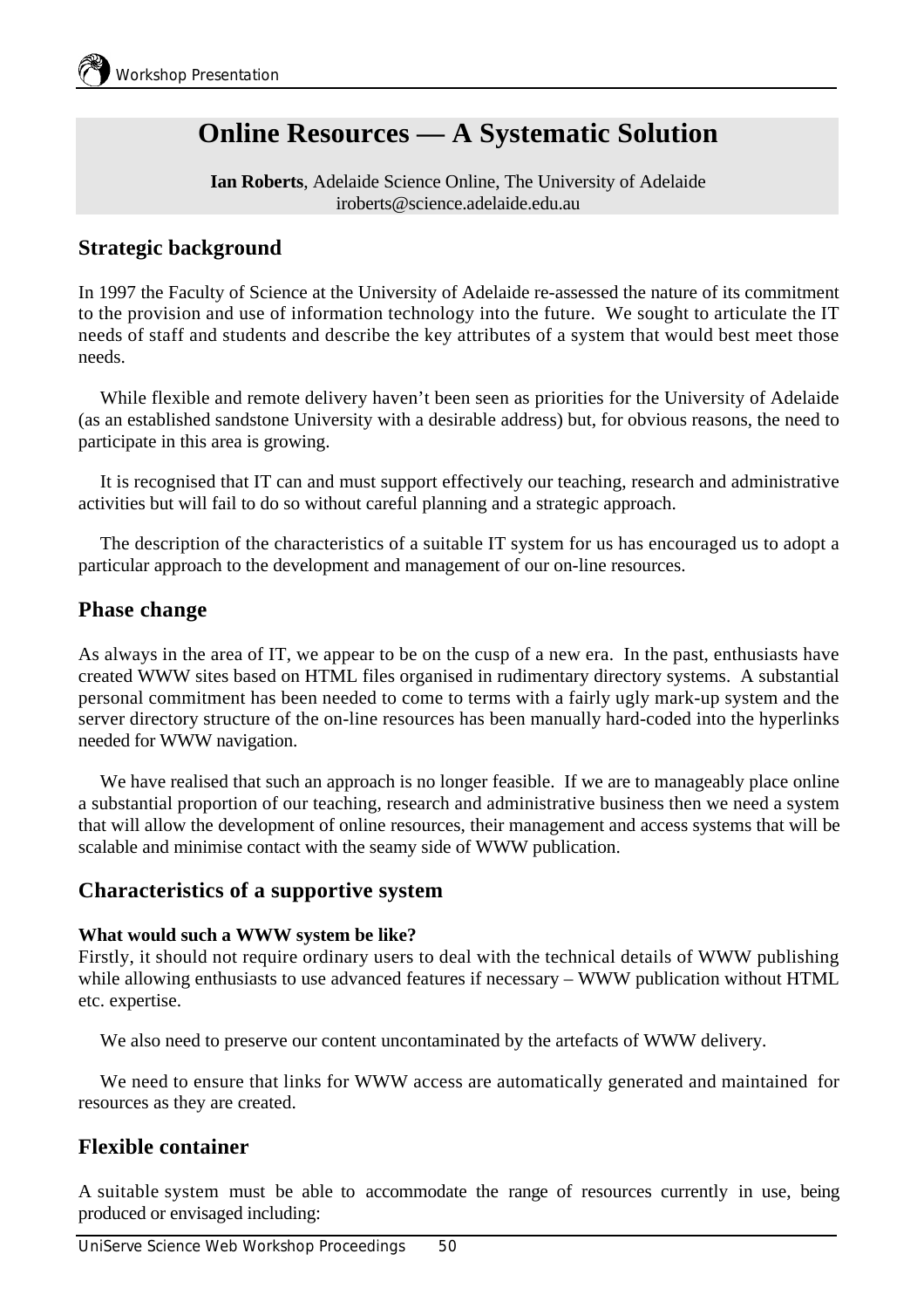# **Online Resources — A Systematic Solution**

**Ian Roberts**, Adelaide Science Online, The University of Adelaide iroberts@science.adelaide.edu.au

## **Strategic background**

In 1997 the Faculty of Science at the University of Adelaide re-assessed the nature of its commitment to the provision and use of information technology into the future. We sought to articulate the IT needs of staff and students and describe the key attributes of a system that would best meet those needs.

While flexible and remote delivery haven't been seen as priorities for the University of Adelaide (as an established sandstone University with a desirable address) but, for obvious reasons, the need to participate in this area is growing.

It is recognised that IT can and must support effectively our teaching, research and administrative activities but will fail to do so without careful planning and a strategic approach.

The description of the characteristics of a suitable IT system for us has encouraged us to adopt a particular approach to the development and management of our on-line resources.

## **Phase change**

As always in the area of IT, we appear to be on the cusp of a new era. In the past, enthusiasts have created WWW sites based on HTML files organised in rudimentary directory systems. A substantial personal commitment has been needed to come to terms with a fairly ugly mark-up system and the server directory structure of the on-line resources has been manually hard-coded into the hyperlinks needed for WWW navigation.

We have realised that such an approach is no longer feasible. If we are to manageably place online a substantial proportion of our teaching, research and administrative business then we need a system that will allow the development of online resources, their management and access systems that will be scalable and minimise contact with the seamy side of WWW publication.

## **Characteristics of a supportive system**

#### **What would such a WWW system be like?**

Firstly, it should not require ordinary users to deal with the technical details of WWW publishing while allowing enthusiasts to use advanced features if necessary – WWW publication without HTML etc. expertise.

We also need to preserve our content uncontaminated by the artefacts of WWW delivery.

We need to ensure that links for WWW access are automatically generated and maintained for resources as they are created.

## **Flexible container**

A suitable system must be able to accommodate the range of resources currently in use, being produced or envisaged including: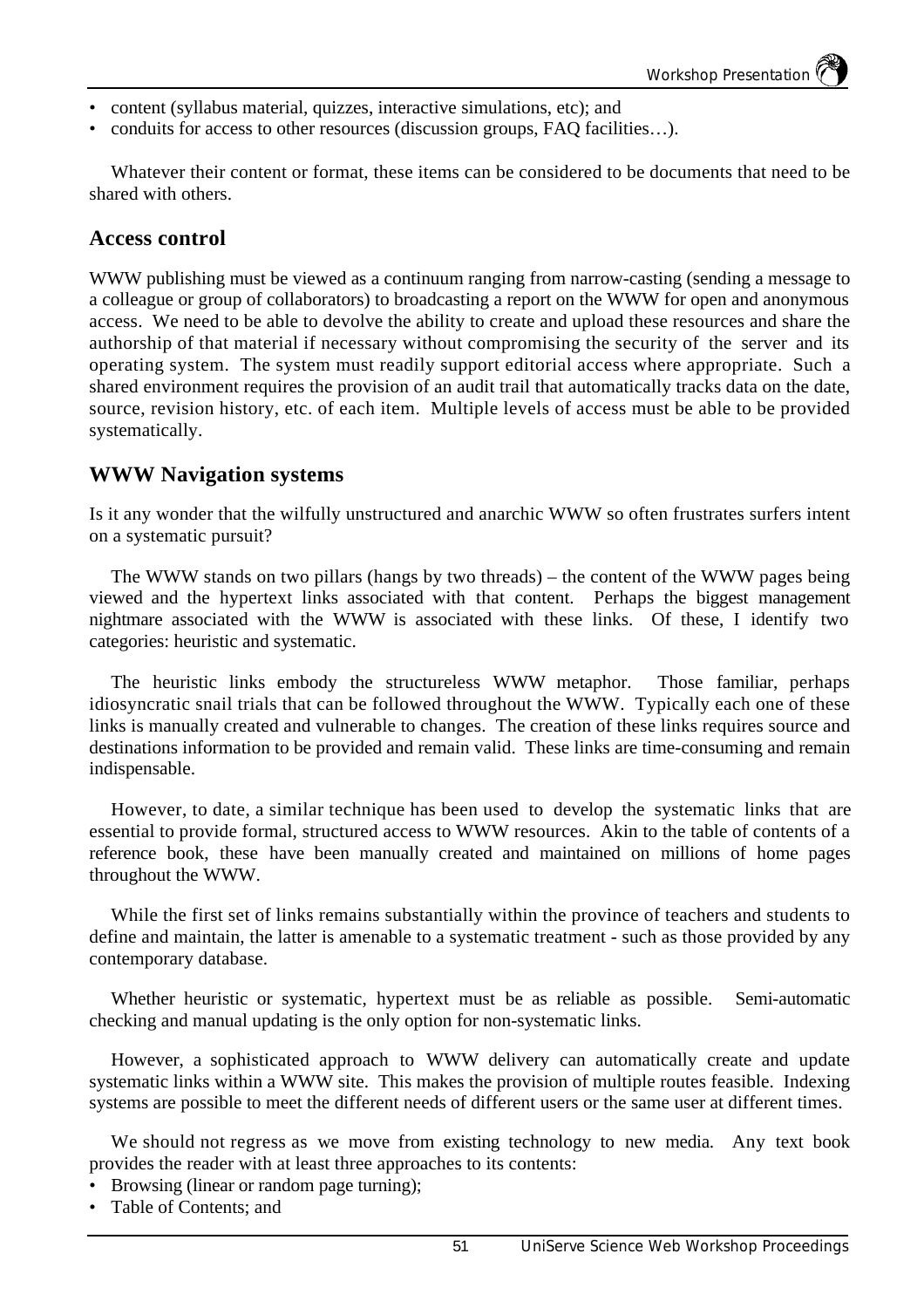- content (syllabus material, quizzes, interactive simulations, etc); and
- conduits for access to other resources (discussion groups, FAQ facilities...).

Whatever their content or format, these items can be considered to be documents that need to be shared with others.

#### **Access control**

WWW publishing must be viewed as a continuum ranging from narrow-casting (sending a message to a colleague or group of collaborators) to broadcasting a report on the WWW for open and anonymous access. We need to be able to devolve the ability to create and upload these resources and share the authorship of that material if necessary without compromising the security of the server and its operating system. The system must readily support editorial access where appropriate. Such a shared environment requires the provision of an audit trail that automatically tracks data on the date, source, revision history, etc. of each item. Multiple levels of access must be able to be provided systematically.

#### **WWW Navigation systems**

Is it any wonder that the wilfully unstructured and anarchic WWW so often frustrates surfers intent on a systematic pursuit?

The WWW stands on two pillars (hangs by two threads) – the content of the WWW pages being viewed and the hypertext links associated with that content. Perhaps the biggest management nightmare associated with the WWW is associated with these links. Of these, I identify two categories: heuristic and systematic.

The heuristic links embody the structureless WWW metaphor. Those familiar, perhaps idiosyncratic snail trials that can be followed throughout the WWW. Typically each one of these links is manually created and vulnerable to changes. The creation of these links requires source and destinations information to be provided and remain valid. These links are time-consuming and remain indispensable.

However, to date, a similar technique has been used to develop the systematic links that are essential to provide formal, structured access to WWW resources. Akin to the table of contents of a reference book, these have been manually created and maintained on millions of home pages throughout the WWW.

While the first set of links remains substantially within the province of teachers and students to define and maintain, the latter is amenable to a systematic treatment - such as those provided by any contemporary database.

Whether heuristic or systematic, hypertext must be as reliable as possible. Semi-automatic checking and manual updating is the only option for non-systematic links.

However, a sophisticated approach to WWW delivery can automatically create and update systematic links within a WWW site. This makes the provision of multiple routes feasible. Indexing systems are possible to meet the different needs of different users or the same user at different times.

We should not regress as we move from existing technology to new media. Any text book provides the reader with at least three approaches to its contents:

- Browsing (linear or random page turning);
- Table of Contents: and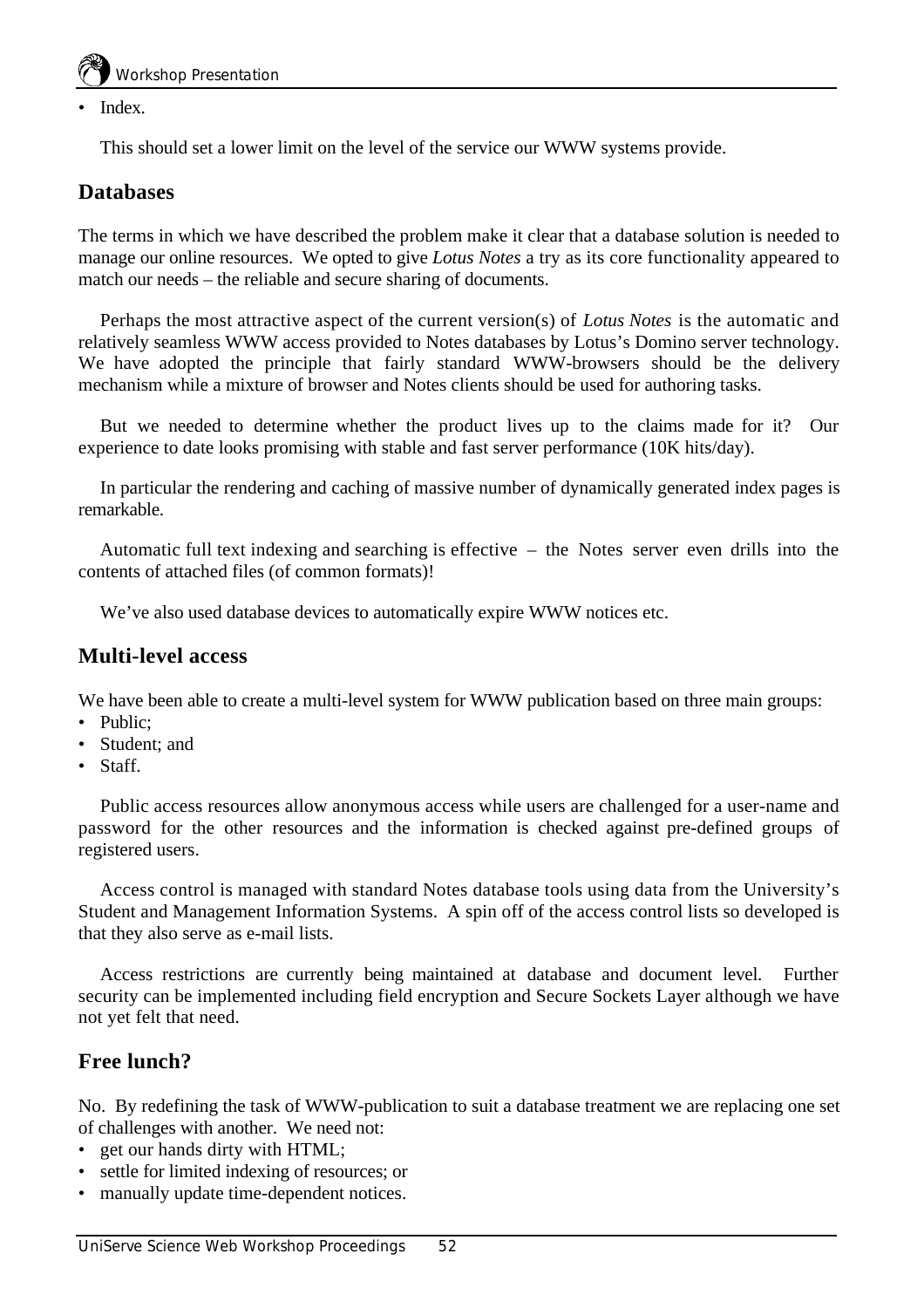Index.

This should set a lower limit on the level of the service our WWW systems provide.

# **Databases**

The terms in which we have described the problem make it clear that a database solution is needed to manage our online resources. We opted to give *Lotus Notes* a try as its core functionality appeared to match our needs – the reliable and secure sharing of documents.

Perhaps the most attractive aspect of the current version(s) of *Lotus Notes* is the automatic and relatively seamless WWW access provided to Notes databases by Lotus's Domino server technology. We have adopted the principle that fairly standard WWW-browsers should be the delivery mechanism while a mixture of browser and Notes clients should be used for authoring tasks.

But we needed to determine whether the product lives up to the claims made for it? Our experience to date looks promising with stable and fast server performance (10K hits/day).

In particular the rendering and caching of massive number of dynamically generated index pages is remarkable.

Automatic full text indexing and searching is effective – the Notes server even drills into the contents of attached files (of common formats)!

We've also used database devices to automatically expire WWW notices etc.

## **Multi-level access**

We have been able to create a multi-level system for WWW publication based on three main groups:

- Public;
- Student; and
- Staff.

Public access resources allow anonymous access while users are challenged for a user-name and password for the other resources and the information is checked against pre-defined groups of registered users.

Access control is managed with standard Notes database tools using data from the University's Student and Management Information Systems. A spin off of the access control lists so developed is that they also serve as e-mail lists.

Access restrictions are currently being maintained at database and document level. Further security can be implemented including field encryption and Secure Sockets Layer although we have not yet felt that need.

# **Free lunch?**

No. By redefining the task of WWW-publication to suit a database treatment we are replacing one set of challenges with another. We need not:

- get our hands dirty with HTML;
- settle for limited indexing of resources; or
- manually update time-dependent notices.